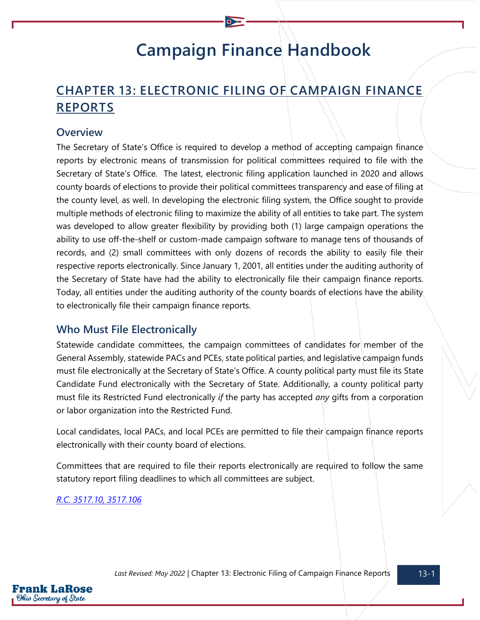# **Campaign Finance Handbook**

# **CHAPTER 13: ELECTRONIC FILING OF CAMPAIGN FINANCE REPORTS**

#### **Overview**

The Secretary of State's Office is required to develop a method of accepting campaign finance reports by electronic means of transmission for political committees required to file with the Secretary of State's Office. The latest, electronic filing application launched in 2020 and allows county boards of elections to provide their political committees transparency and ease of filing at the county level, as well. In developing the electronic filing system, the Office sought to provide multiple methods of electronic filing to maximize the ability of all entities to take part. The system was developed to allow greater flexibility by providing both (1) large campaign operations the ability to use off-the-shelf or custom-made campaign software to manage tens of thousands of records, and (2) small committees with only dozens of records the ability to easily file their respective reports electronically. Since January 1, 2001, all entities under the auditing authority of the Secretary of State have had the ability to electronically file their campaign finance reports. Today, all entities under the auditing authority of the county boards of elections have the ability to electronically file their campaign finance reports.

#### **Who Must File Electronically**

Statewide candidate committees, the campaign committees of candidates for member of the General Assembly, statewide PACs and PCEs, state political parties, and legislative campaign funds must file electronically at the Secretary of State's Office. A county political party must file its State Candidate Fund electronically with the Secretary of State. Additionally, a county political party must file its Restricted Fund electronically *if* the party has accepted *any* gifts from a corporation or labor organization into the Restricted Fund.

Local candidates, local PACs, and local PCEs are permitted to file their campaign finance reports electronically with their county board of elections.

Committees that are required to file their reports electronically are required to follow the same statutory report filing deadlines to which all committees are subject.

*[R.C. 3517.10,](https://codes.ohio.gov/ohio-revised-code/section-3517.10) [3517.106](https://codes.ohio.gov/ohio-revised-code/section-3517.106)*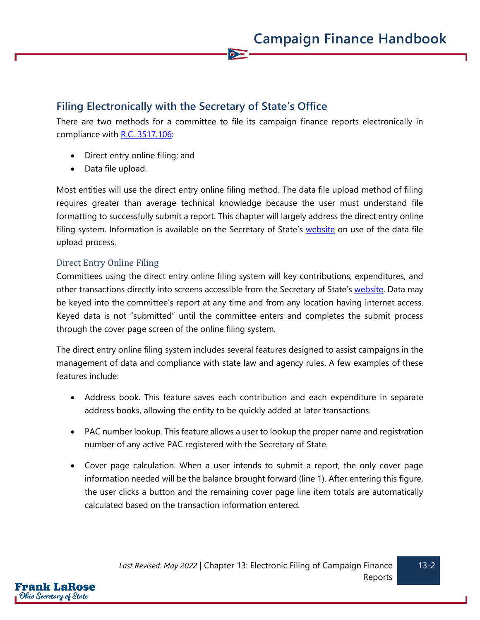# **Filing Electronically with the Secretary of State's Office**

There are two methods for a committee to file its campaign finance reports electronically in compliance with [R.C. 3517.106:](https://codes.ohio.gov/ohio-revised-code/section-3517.106)

 $\bullet$ 

- Direct entry online filing; and
- Data file upload.

Most entities will use the direct entry online filing method. The data file upload method of filing requires greater than average technical knowledge because the user must understand file formatting to successfully submit a report. This chapter will largely address the direct entry online filing system. Information is available on the Secretary of State's [website](https://www.ohiosos.gov/campaign-finance/file-online-cfofs/) on use of the data file upload process.

#### Direct Entry Online Filing

Committees using the direct entry online filing system will key contributions, expenditures, and other transactions directly into screens accessible from the Secretary of State's [website.](https://www.ohiosos.gov/campaign-finance/file-online-cfofs/) Data may be keyed into the committee's report at any time and from any location having internet access. Keyed data is not "submitted" until the committee enters and completes the submit process through the cover page screen of the online filing system.

The direct entry online filing system includes several features designed to assist campaigns in the management of data and compliance with state law and agency rules. A few examples of these features include:

- Address book. This feature saves each contribution and each expenditure in separate address books, allowing the entity to be quickly added at later transactions.
- PAC number lookup. This feature allows a user to lookup the proper name and registration number of any active PAC registered with the Secretary of State.
- Cover page calculation. When a user intends to submit a report, the only cover page information needed will be the balance brought forward (line 1). After entering this figure, the user clicks a button and the remaining cover page line item totals are automatically calculated based on the transaction information entered.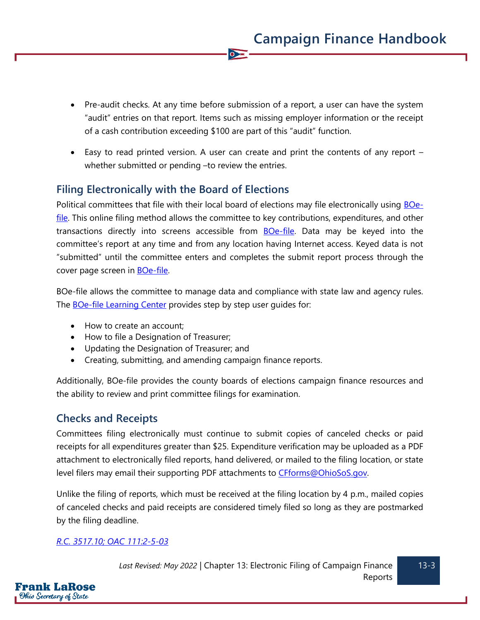• Pre-audit checks. At any time before submission of a report, a user can have the system "audit" entries on that report. Items such as missing employer information or the receipt of a cash contribution exceeding \$100 are part of this "audit" function.

 $\overline{\bullet}$ 

• Easy to read printed version. A user can create and print the contents of any report – whether submitted or pending –to review the entries.

# **Filing Electronically with the Board of Elections**

Political committees that file with their local board of elections may file electronically using **BOe**[file.](https://boefile.ohiosos.gov/) This online filing method allows the committee to key contributions, expenditures, and other transactions directly into screens accessible from [BOe-file.](https://boefile.ohiosos.gov/) Data may be keyed into the committee's report at any time and from any location having Internet access. Keyed data is not "submitted" until the committee enters and completes the submit report process through the cover page screen in **BOe-file**.

BOe-file allows the committee to manage data and compliance with state law and agency rules. The **BOe-file Learning Center** provides step by step user quides for:

- How to create an account;
- How to file a Designation of Treasurer;
- Updating the Designation of Treasurer; and
- Creating, submitting, and amending campaign finance reports.

Additionally, BOe-file provides the county boards of elections campaign finance resources and the ability to review and print committee filings for examination.

### **Checks and Receipts**

Committees filing electronically must continue to submit copies of canceled checks or paid receipts for all expenditures greater than \$25. Expenditure verification may be uploaded as a PDF attachment to electronically filed reports, hand delivered, or mailed to the filing location, or state level filers may email their supporting PDF attachments to CFforms@OhioSoS.gov.

Unlike the filing of reports, which must be received at the filing location by 4 p.m., mailed copies of canceled checks and paid receipts are considered timely filed so long as they are postmarked by the filing deadline.

#### *[R.C. 3517.10;](https://codes.ohio.gov/ohio-revised-code/section-3517.10) [OAC 111:2-5-03](https://codes.ohio.gov/ohio-administrative-code/rule-111:2-5-03)*

F**rank LaRose** Ohio Secretary of State